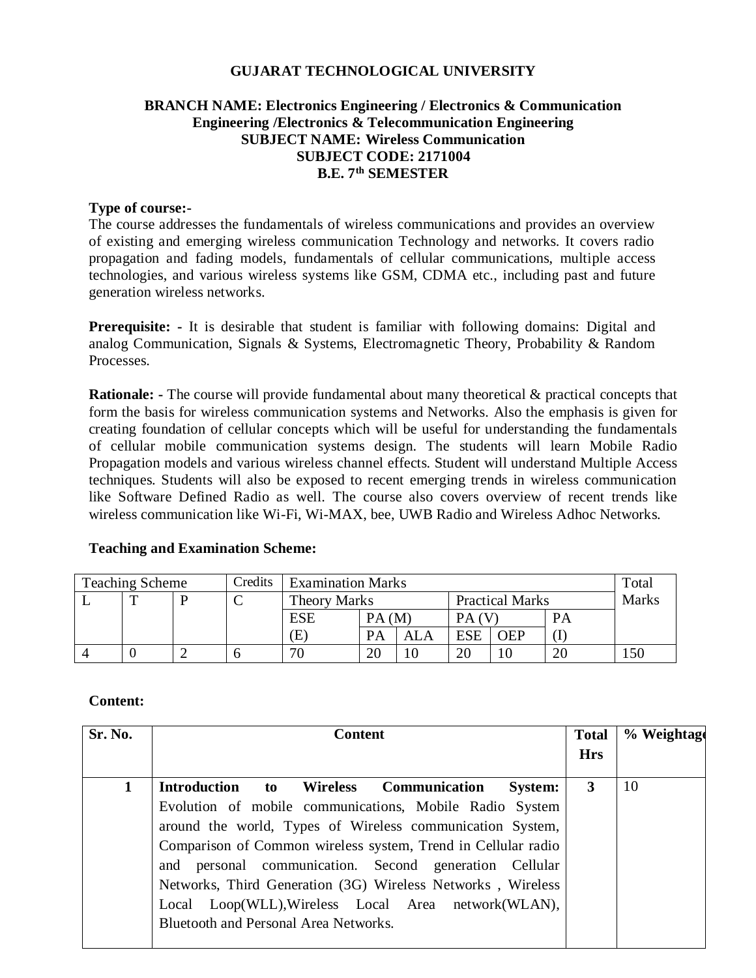#### **GUJARAT TECHNOLOGICAL UNIVERSITY**

### **BRANCH NAME: Electronics Engineering / Electronics & Communication Engineering /Electronics & Telecommunication Engineering SUBJECT NAME: Wireless Communication SUBJECT CODE: 2171004 B.E. 7 th SEMESTER**

#### **Type of course:-**

The course addresses the fundamentals of wireless communications and provides an overview of existing and emerging wireless communication Technology and networks. It covers radio propagation and fading models, fundamentals of cellular communications, multiple access technologies, and various wireless systems like GSM, CDMA etc., including past and future generation wireless networks.

**Prerequisite:** - It is desirable that student is familiar with following domains: Digital and analog Communication, Signals & Systems, Electromagnetic Theory, Probability & Random Processes.

**Rationale:** - The course will provide fundamental about many theoretical & practical concepts that form the basis for wireless communication systems and Networks. Also the emphasis is given for creating foundation of cellular concepts which will be useful for understanding the fundamentals of cellular mobile communication systems design. The students will learn Mobile Radio Propagation models and various wireless channel effects. Student will understand Multiple Access techniques. Students will also be exposed to recent emerging trends in wireless communication like Software Defined Radio as well. The course also covers overview of recent trends like wireless communication like Wi-Fi, Wi-MAX, bee, UWB Radio and Wireless Adhoc Networks.

#### **Teaching and Examination Scheme:**

| <b>Teaching Scheme</b> |   | Credits | <b>Examination Marks</b> |                                               |       |     | Total |                |              |     |
|------------------------|---|---------|--------------------------|-----------------------------------------------|-------|-----|-------|----------------|--------------|-----|
|                        | m | D       | ◡                        | <b>Practical Marks</b><br><b>Theory Marks</b> |       |     |       |                | <b>Marks</b> |     |
|                        |   |         |                          | <b>ESE</b>                                    | PA(M) |     | PА    |                | PA           |     |
|                        |   |         |                          | E)                                            | PA    | ALA | ESE   | <b>OEP</b>     |              |     |
|                        |   |         |                          | 70                                            | 20    | 10  | 20    | $\overline{0}$ | 20           | .50 |

#### **Content:**

| Sr. No.     | <b>Content</b>                                                                                                                                                                                                                                                                                                                                                                                                                                                                    | <b>Total</b><br><b>Hrs</b> | % Weightage |
|-------------|-----------------------------------------------------------------------------------------------------------------------------------------------------------------------------------------------------------------------------------------------------------------------------------------------------------------------------------------------------------------------------------------------------------------------------------------------------------------------------------|----------------------------|-------------|
| $\mathbf 1$ | Introduction to Wireless Communication<br><b>System:</b><br>Evolution of mobile communications, Mobile Radio System<br>around the world, Types of Wireless communication System,<br>Comparison of Common wireless system, Trend in Cellular radio<br>and personal communication. Second generation Cellular<br>Networks, Third Generation (3G) Wireless Networks, Wireless<br>Local Loop(WLL), Wireless Local Area network(WLAN),<br><b>Bluetooth and Personal Area Networks.</b> | 3                          | 10          |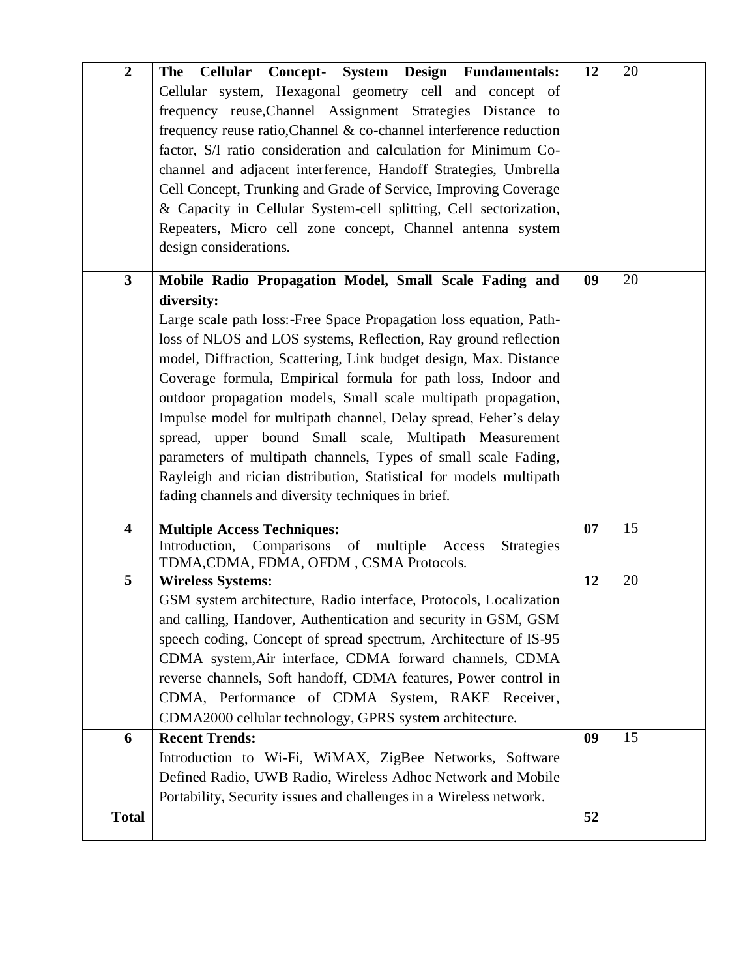| $\boldsymbol{2}$        | Cellular Concept- System Design Fundamentals:<br><b>The</b><br>Cellular system, Hexagonal geometry cell and concept of<br>frequency reuse, Channel Assignment Strategies Distance to<br>frequency reuse ratio, Channel & co-channel interference reduction<br>factor, S/I ratio consideration and calculation for Minimum Co-<br>channel and adjacent interference, Handoff Strategies, Umbrella<br>Cell Concept, Trunking and Grade of Service, Improving Coverage<br>& Capacity in Cellular System-cell splitting, Cell sectorization,<br>Repeaters, Micro cell zone concept, Channel antenna system<br>design considerations.                                                                                                                  | 12 | 20 |
|-------------------------|---------------------------------------------------------------------------------------------------------------------------------------------------------------------------------------------------------------------------------------------------------------------------------------------------------------------------------------------------------------------------------------------------------------------------------------------------------------------------------------------------------------------------------------------------------------------------------------------------------------------------------------------------------------------------------------------------------------------------------------------------|----|----|
| $\overline{\mathbf{3}}$ | Mobile Radio Propagation Model, Small Scale Fading and<br>diversity:<br>Large scale path loss:-Free Space Propagation loss equation, Path-<br>loss of NLOS and LOS systems, Reflection, Ray ground reflection<br>model, Diffraction, Scattering, Link budget design, Max. Distance<br>Coverage formula, Empirical formula for path loss, Indoor and<br>outdoor propagation models, Small scale multipath propagation,<br>Impulse model for multipath channel, Delay spread, Feher's delay<br>spread, upper bound Small scale, Multipath Measurement<br>parameters of multipath channels, Types of small scale Fading,<br>Rayleigh and rician distribution, Statistical for models multipath<br>fading channels and diversity techniques in brief. | 09 | 20 |
| $\overline{\mathbf{4}}$ | <b>Multiple Access Techniques:</b><br>Comparisons of multiple Access<br>Introduction,<br><b>Strategies</b><br>TDMA, CDMA, FDMA, OFDM, CSMA Protocols.                                                                                                                                                                                                                                                                                                                                                                                                                                                                                                                                                                                             | 07 | 15 |
| 5                       | <b>Wireless Systems:</b><br>GSM system architecture, Radio interface, Protocols, Localization<br>and calling, Handover, Authentication and security in GSM, GSM<br>speech coding, Concept of spread spectrum, Architecture of IS-95<br>CDMA system, Air interface, CDMA forward channels, CDMA<br>reverse channels, Soft handoff, CDMA features, Power control in<br>CDMA, Performance of CDMA System, RAKE Receiver,<br>CDMA2000 cellular technology, GPRS system architecture.                                                                                                                                                                                                                                                                  | 12 | 20 |
| 6                       | <b>Recent Trends:</b>                                                                                                                                                                                                                                                                                                                                                                                                                                                                                                                                                                                                                                                                                                                             | 09 | 15 |
|                         | Introduction to Wi-Fi, WiMAX, ZigBee Networks, Software<br>Defined Radio, UWB Radio, Wireless Adhoc Network and Mobile<br>Portability, Security issues and challenges in a Wireless network.                                                                                                                                                                                                                                                                                                                                                                                                                                                                                                                                                      |    |    |
| <b>Total</b>            |                                                                                                                                                                                                                                                                                                                                                                                                                                                                                                                                                                                                                                                                                                                                                   | 52 |    |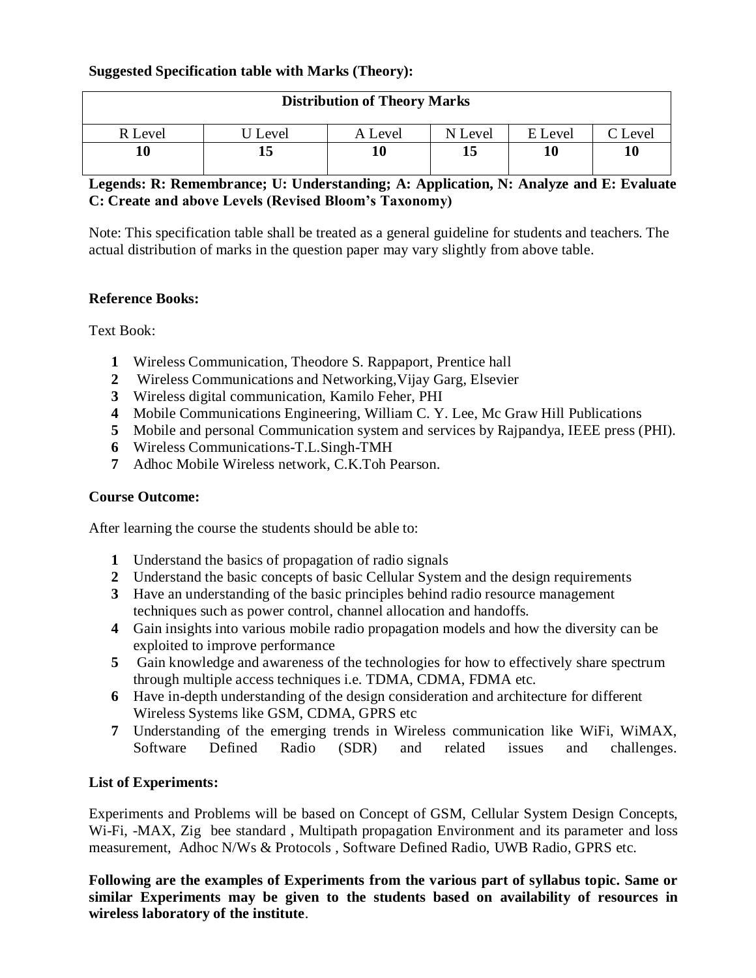## **Suggested Specification table with Marks (Theory):**

| <b>Distribution of Theory Marks</b> |         |         |         |         |         |  |  |
|-------------------------------------|---------|---------|---------|---------|---------|--|--|
| R Level                             | U Level | A Level | N Level | E Level | C Level |  |  |
|                                     |         | 10      | 15      | 10      | 10      |  |  |

### **Legends: R: Remembrance; U: Understanding; A: Application, N: Analyze and E: Evaluate C: Create and above Levels (Revised Bloom's Taxonomy)**

Note: This specification table shall be treated as a general guideline for students and teachers. The actual distribution of marks in the question paper may vary slightly from above table.

#### **Reference Books:**

Text Book:

- **1** Wireless Communication, Theodore S. Rappaport, Prentice hall
- **2** Wireless Communications and Networking,Vijay Garg, Elsevier
- **3** Wireless digital communication, Kamilo Feher, PHI
- **4** Mobile Communications Engineering, William C. Y. Lee, Mc Graw Hill Publications
- **5** Mobile and personal Communication system and services by Rajpandya, IEEE press (PHI).
- **6** Wireless Communications-T.L.Singh-TMH
- **7** Adhoc Mobile Wireless network, C.K.Toh Pearson.

## **Course Outcome:**

After learning the course the students should be able to:

- **1** Understand the basics of propagation of radio signals
- **2** Understand the basic concepts of basic Cellular System and the design requirements
- **3** Have an understanding of the basic principles behind radio resource management techniques such as power control, channel allocation and handoffs.
- **4** Gain insights into various mobile radio propagation models and how the diversity can be exploited to improve performance
- **5** Gain knowledge and awareness of the technologies for how to effectively share spectrum through multiple access techniques i.e. TDMA, CDMA, FDMA etc.
- **6** Have in-depth understanding of the design consideration and architecture for different Wireless Systems like GSM, CDMA, GPRS etc
- **7** Understanding of the emerging trends in Wireless communication like WiFi, WiMAX, Software Defined Radio (SDR) and related issues and challenges.

## **List of Experiments:**

Experiments and Problems will be based on Concept of GSM, Cellular System Design Concepts, Wi-Fi, -MAX, Zig bee standard , Multipath propagation Environment and its parameter and loss measurement, Adhoc N/Ws & Protocols , Software Defined Radio, UWB Radio, GPRS etc.

**Following are the examples of Experiments from the various part of syllabus topic. Same or similar Experiments may be given to the students based on availability of resources in wireless laboratory of the institute**.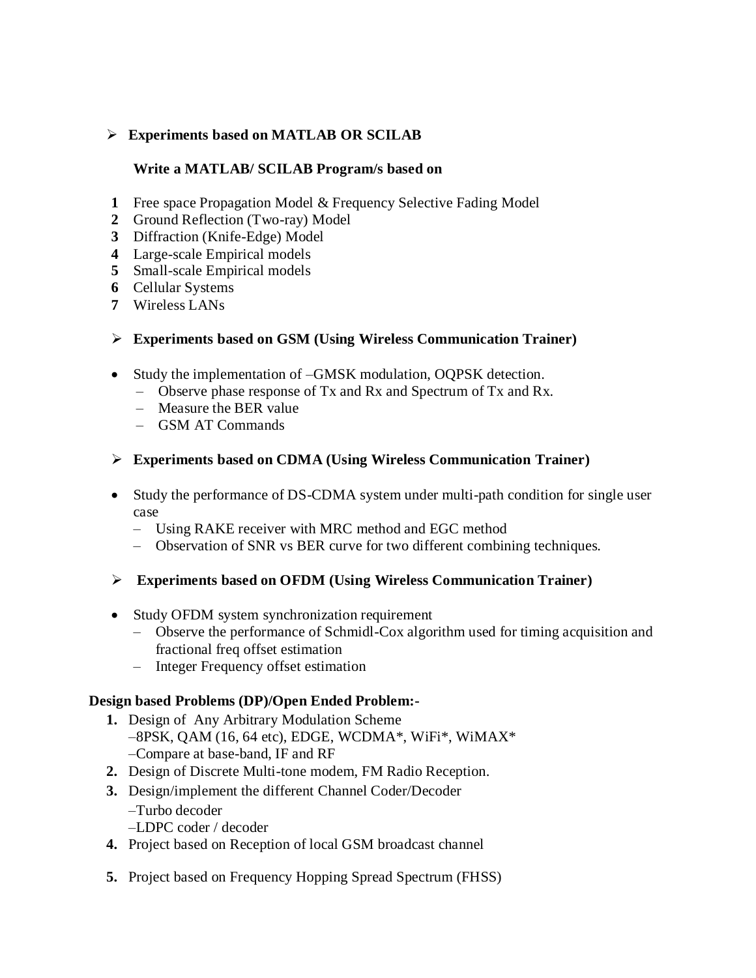# **Experiments based on MATLAB OR SCILAB**

#### **Write a MATLAB/ SCILAB Program/s based on**

- **1** Free space Propagation Model & Frequency Selective Fading Model
- **2** Ground Reflection (Two-ray) Model
- **3** Diffraction (Knife-Edge) Model
- **4** Large-scale Empirical models
- **5** Small-scale Empirical models
- **6** Cellular Systems
- **7** Wireless LANs

# **Experiments based on GSM (Using Wireless Communication Trainer)**

- Study the implementation of –GMSK modulation, OQPSK detection.
	- Observe phase response of Tx and Rx and Spectrum of Tx and Rx.
	- Measure the BER value
	- GSM AT Commands
- **Experiments based on CDMA (Using Wireless Communication Trainer)**
- Study the performance of DS-CDMA system under multi-path condition for single user case
	- Using RAKE receiver with MRC method and EGC method
	- Observation of SNR vs BER curve for two different combining techniques.
- **Experiments based on OFDM (Using Wireless Communication Trainer)**
- Study OFDM system synchronization requirement
	- Observe the performance of Schmidl-Cox algorithm used for timing acquisition and fractional freq offset estimation
	- Integer Frequency offset estimation

## **Design based Problems (DP)/Open Ended Problem:-**

- **1.** Design of Any Arbitrary Modulation Scheme –8PSK, QAM (16, 64 etc), EDGE, WCDMA\*, WiFi\*, WiMAX\* –Compare at base-band, IF and RF
- **2.** Design of Discrete Multi-tone modem, FM Radio Reception.
- **3.** Design/implement the different Channel Coder/Decoder –Turbo decoder
	- –LDPC coder / decoder
- **4.** Project based on Reception of local GSM broadcast channel
- **5.** Project based on Frequency Hopping Spread Spectrum (FHSS)